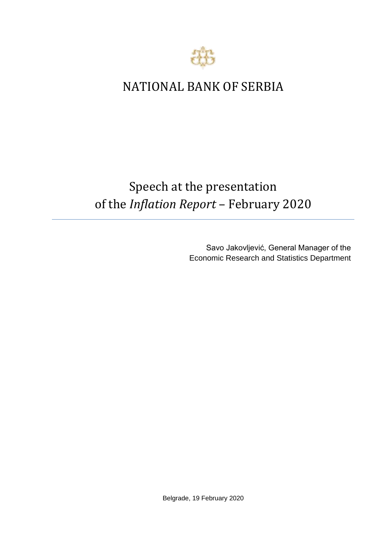

## NATIONAL BANK OF SERBIA

## Speech at the presentation of the *Inflation Report* – February 2020

Savo Jakovljević, General Manager of the Economic Research and Statistics Department

Belgrade, 19 February 2020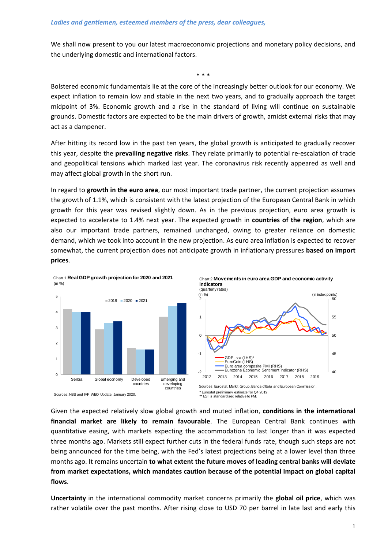We shall now present to you our latest macroeconomic projections and monetary policy decisions, and the underlying domestic and international factors.

\* \* \* Bolstered economic fundamentals lie at the core of the increasingly better outlook for our economy. We expect inflation to remain low and stable in the next two years, and to gradually approach the target midpoint of 3%. Economic growth and a rise in the standard of living will continue on sustainable grounds. Domestic factors are expected to be the main drivers of growth, amidst external risks that may act as a dampener.

After hitting its record low in the past ten years, the global growth is anticipated to gradually recover this year, despite the **prevailing negative risks**. They relate primarily to potential re-escalation of trade and geopolitical tensions which marked last year. The coronavirus risk recently appeared as well and may affect global growth in the short run.

In regard to **growth in the euro area**, our most important trade partner, the current projection assumes the growth of 1.1%, which is consistent with the latest projection of the European Central Bank in which growth for this year was revised slightly down. As in the previous projection, euro area growth is expected to accelerate to 1.4% next year. The expected growth in **countries of the region**, which are also our important trade partners, remained unchanged, owing to greater reliance on domestic demand, which we took into account in the new projection. As euro area inflation is expected to recover somewhat, the current projection does not anticipate growth in inflationary pressures **based on import prices**.



Given the expected relatively slow global growth and muted inflation, **conditions in the international financial market are likely to remain favourable**. The European Central Bank continues with quantitative easing, with markets expecting the accommodation to last longer than it was expected three months ago. Markets still expect further cuts in the federal funds rate, though such steps are not being announced for the time being, with the Fed's latest projections being at a lower level than three months ago. It remains uncertain **to what extent the future moves of leading central banks will deviate from market expectations, which mandates caution because of the potential impact on global capital flows**.

**Uncertainty** in the international commodity market concerns primarily the **global oil price**, which was rather volatile over the past months. After rising close to USD 70 per barrel in late last and early this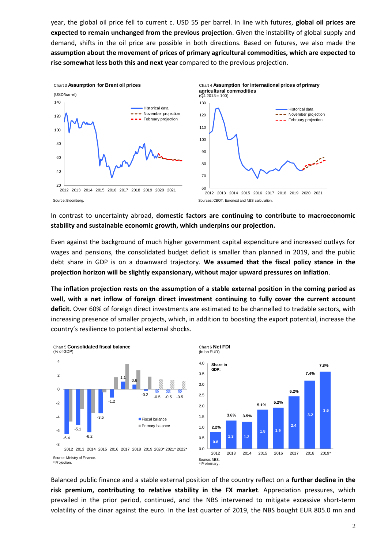year, the global oil price fell to current c. USD 55 per barrel. In line with futures, **global oil prices are expected to remain unchanged from the previous projection**. Given the instability of global supply and demand, shifts in the oil price are possible in both directions. Based on futures, we also made the **assumption about the movement of prices of primary agricultural commodities, which are expected to rise somewhat less both this and next year** compared to the previous projection.



In contrast to uncertainty abroad, **domestic factors are continuing to contribute to macroeconomic stability and sustainable economic growth, which underpins our projection.**

Even against the background of much higher government capital expenditure and increased outlays for wages and pensions, the consolidated budget deficit is smaller than planned in 2019, and the public debt share in GDP is on a downward trajectory. **We assumed that the fiscal policy stance in the projection horizon will be slightly expansionary, without major upward pressures on inflation**.

**The inflation projection rests on the assumption of a stable external position in the coming period as well, with a net inflow of foreign direct investment continuing to fully cover the current account deficit**. Over 60% of foreign direct investments are estimated to be channelled to tradable sectors, with increasing presence of smaller projects, which, in addition to boosting the export potential, increase the country's resilience to potential external shocks.



Balanced public finance and a stable external position of the country reflect on a **further decline in the risk premium, contributing to relative stability in the FX market**. Appreciation pressures, which prevailed in the prior period, continued, and the NBS intervened to mitigate excessive short-term volatility of the dinar against the euro. In the last quarter of 2019, the NBS bought EUR 805.0 mn and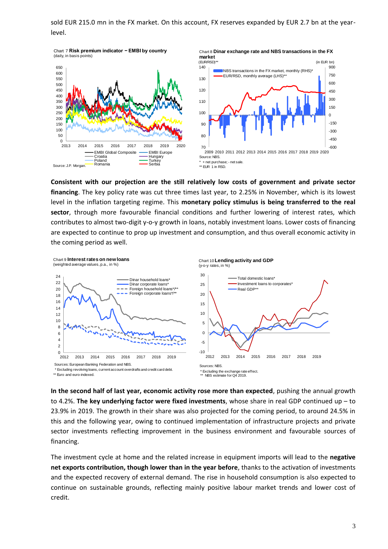sold EUR 215.0 mn in the FX market. On this account, FX reserves expanded by EUR 2.7 bn at the yearlevel.



**Consistent with our projection are the still relatively low costs of government and private sector financing**. The key policy rate was cut three times last year, to 2.25% in November, which is its lowest level in the inflation targeting regime. This **monetary policy stimulus is being transferred to the real sector**, through more favourable financial conditions and further lowering of interest rates, which contributes to almost two-digit y-o-y growth in loans, notably investment loans. Lower costs of financing are expected to continue to prop up investment and consumption, and thus overall economic activity in the coming period as well.



**In the second half of last year, economic activity rose more than expected**, pushing the annual growth to 4.2%. **The key underlying factor were fixed investments**, whose share in real GDP continued up – to 23.9% in 2019. The growth in their share was also projected for the coming period, to around 24.5% in this and the following year, owing to continued implementation of infrastructure projects and private sector investments reflecting improvement in the business environment and favourable sources of financing.

The investment cycle at home and the related increase in equipment imports will lead to the **negative net exports contribution, though lower than in the year before**, thanks to the activation of investments and the expected recovery of external demand. The rise in household consumption is also expected to continue on sustainable grounds, reflecting mainly positive labour market trends and lower cost of credit.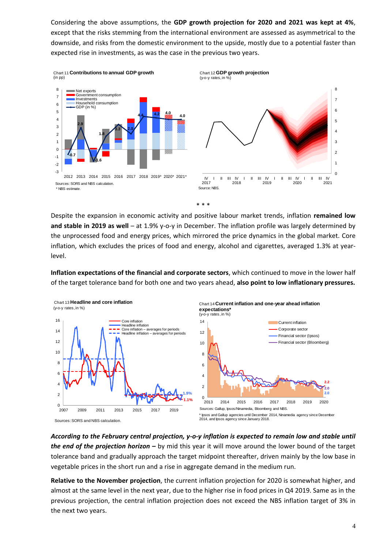Considering the above assumptions, the **GDP growth projection for 2020 and 2021 was kept at 4%**, except that the risks stemming from the international environment are assessed as asymmetrical to the downside, аnd risks from the domestic environment to the upside, mostly due to a potential faster than expected rise in investments, as was the case in the previous two years.



Despite the expansion in economic activity and positive labour market trends, inflation **remained low and stable in 2019 as well** – at 1.9% y-o-y in December. The inflation profile was largely determined by the unprocessed food and energy prices, which mirrored the price dynamics in the global market. Core inflation, which excludes the prices of food and energy, alcohol and cigarettes, averaged 1.3% at yearlevel.

**Inflation expectations of the financial and corporate sectors**, which continued to move in the lower half of the target tolerance band for both one and two years ahead, **also point to low inflationary pressures.** 



*According to the February central projection, y-o-y inflation is expected to remain low and stable until the end of the projection horizon –* by mid this year it will move around the lower bound of the target tolerance band and gradually approach the target midpoint thereafter, driven mainly by the low base in vegetable prices in the short run and a rise in aggregate demand in the medium run.

**Relative to the November projection**, the current inflation projection for 2020 is somewhat higher, and almost at the same level in the next year, due to the higher rise in food prices in Q4 2019. Same as in the previous projection, the central inflation projection does not exceed the NBS inflation target of 3% in the next two years.

I II III IV 2021